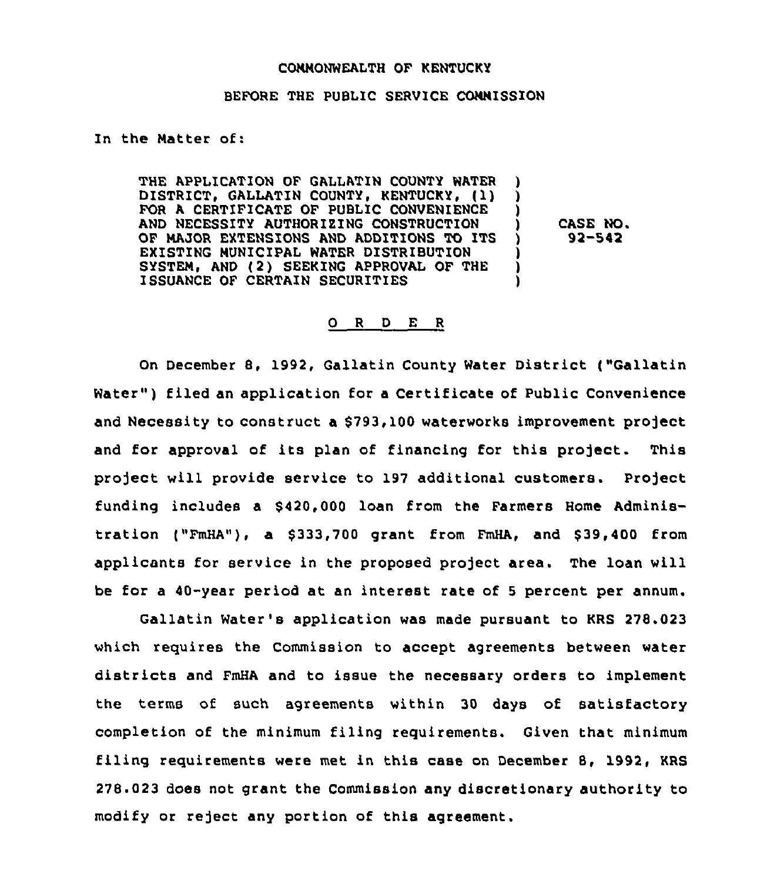## COMMONWEALTH OF KENTUCKY

## BEFORE THE PUBLIC SERVICE COMMISSION

In the Matter of:

THE APPLICATION OF GALLATIN COUNTY WATER DISTRICT, GALLATIN COUNTY, KENTUCKY, (1) FOR A CERTIFICATE OF PUBLIC CONVENIENCE AND NECESSITY AUTHORIZING CONSTRUCTION OF MAJOR EXTENSIONS AND ADDITIONS TO ITS EXISTING MUNICIPAL WATER DISTRIBUTION SYSTEM, AND (2) SEEKING APPROVAL OF THE ISSUANCE OF CERTAIN SECURITIES ) ) ) ) ) )

) CASE NO. ) 92-542

## 0 <sup>R</sup> <sup>D</sup> E <sup>R</sup>

On December 8, 1992, Gallatin County Water District ("Gallatin Water") filed an application for a Certificate of Public Convenience and Necessity to construct a \$793,100 waterworks improvement project and for approval of its plan of financing for this project. This project will provide service to 197 additional customers. Project funding includes a 8420,000 loan from the Farmers Home Administration ("FmHA"), a \$333,700 grant from FmHA, and \$39,400 from applicants for service in the proposed project area. The loan will be for a 40-year period at an interest rate of <sup>5</sup> percent per annum.

Gallatin Water's application was made pursuant to KRS 278.023 which requires the Commission to accept agreements between water districts and FmHA and to issue the necessary orders to implement the terms of such agreements within 30 days of satisfactory completion of the minimum filing requirements. Given that minimum filing requirements were met in this case on December 8, 1992, KRS 278.023 does not grant the Commission any discretionary authority to modify or reject any portion of this agreement.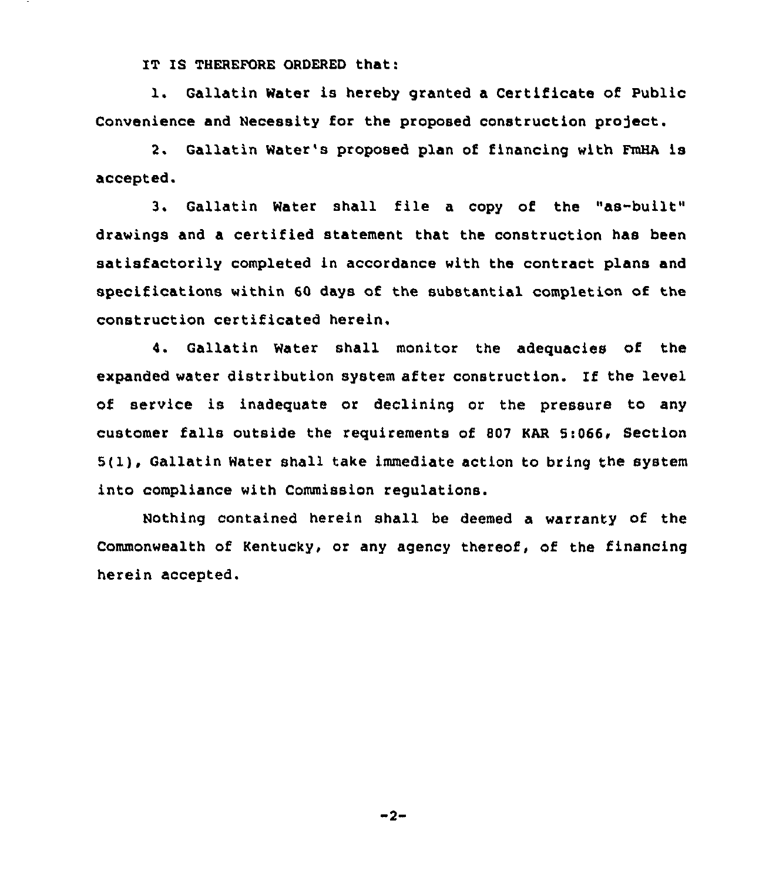IT IS THEREFORE ORDERED that:

1. Gallatin Water is hereby granted <sup>a</sup> Certificate of Public Convenience and Necessity for the proposed construction project.

2. Gallatin Water's proposed plan of financing with FmHA is accepted.

3. Gallatin Water shall file <sup>a</sup> copy of the "as-built" drawings and a certified statement that the construction has been satisfactorily completed in accordance with the contract plans and specifications within 60 days of the substantial completion of the construction certificated herein,

4. Gallatin Water shall monitor the adequacies of the expanded water distribution system after construction. If the level of service is inadequate or declining or the pressure to any customer falls outside the requirements of 807 KAR 5:066, Section 5(1), Gallatin Water shall take immediate action to bring the system into compliance with Commission regulations.

Nothing contained herein shall be deemed a warranty of the Commonwealth of Kentucky, or any agency thereof, of the financing herein accepted.

 $-2-$